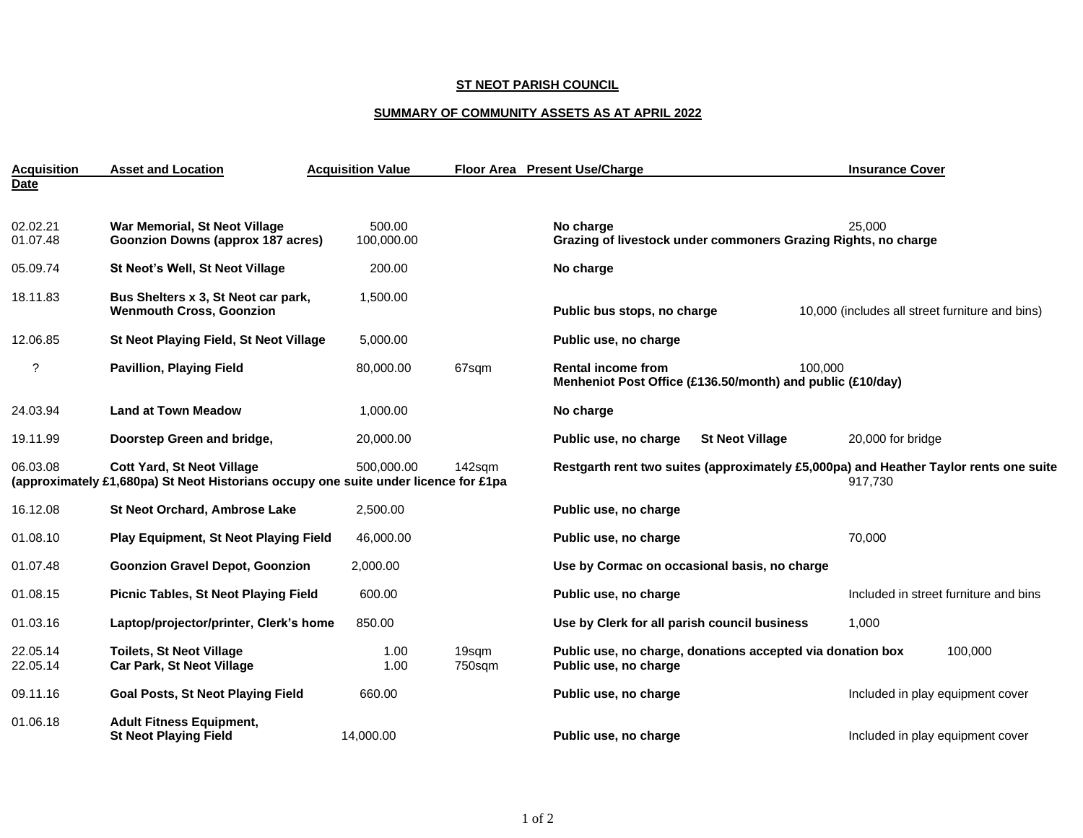## **ST NEOT PARISH COUNCIL**

## **SUMMARY OF COMMUNITY ASSETS AS AT APRIL 2022**

| <b>Acquisition</b>   | <b>Asset and Location</b>                                                                                                | <b>Acquisition Value</b> |                 | Floor Area Present Use/Charge                                                           | <b>Insurance Cover</b>                          |
|----------------------|--------------------------------------------------------------------------------------------------------------------------|--------------------------|-----------------|-----------------------------------------------------------------------------------------|-------------------------------------------------|
| <b>Date</b>          |                                                                                                                          |                          |                 |                                                                                         |                                                 |
| 02.02.21<br>01.07.48 | War Memorial, St Neot Village<br><b>Goonzion Downs (approx 187 acres)</b>                                                | 500.00<br>100,000.00     |                 | No charge<br>Grazing of livestock under commoners Grazing Rights, no charge             | 25,000                                          |
| 05.09.74             | St Neot's Well, St Neot Village                                                                                          | 200.00                   |                 | No charge                                                                               |                                                 |
| 18.11.83             | Bus Shelters x 3, St Neot car park,<br><b>Wenmouth Cross, Goonzion</b>                                                   | 1,500.00                 |                 | Public bus stops, no charge                                                             | 10,000 (includes all street furniture and bins) |
| 12.06.85             | St Neot Playing Field, St Neot Village                                                                                   | 5,000.00                 |                 | Public use, no charge                                                                   |                                                 |
| ?                    | <b>Pavillion, Playing Field</b>                                                                                          | 80,000.00                | 67sqm           | <b>Rental income from</b><br>Menheniot Post Office (£136.50/month) and public (£10/day) | 100.000                                         |
| 24.03.94             | <b>Land at Town Meadow</b>                                                                                               | 1.000.00                 |                 | No charge                                                                               |                                                 |
| 19.11.99             | Doorstep Green and bridge,                                                                                               | 20,000.00                |                 | Public use, no charge<br><b>St Neot Village</b>                                         | 20,000 for bridge                               |
| 06.03.08             | <b>Cott Yard, St Neot Village</b><br>(approximately £1,680pa) St Neot Historians occupy one suite under licence for £1pa | 500.000.00               | 142sqm          | Restgarth rent two suites (approximately £5,000pa) and Heather Taylor rents one suite   | 917,730                                         |
| 16.12.08             | St Neot Orchard, Ambrose Lake                                                                                            | 2,500.00                 |                 | Public use, no charge                                                                   |                                                 |
| 01.08.10             | <b>Play Equipment, St Neot Playing Field</b>                                                                             | 46,000.00                |                 | Public use, no charge                                                                   | 70,000                                          |
| 01.07.48             | <b>Goonzion Gravel Depot, Goonzion</b>                                                                                   | 2,000.00                 |                 | Use by Cormac on occasional basis, no charge                                            |                                                 |
| 01.08.15             | <b>Picnic Tables, St Neot Playing Field</b>                                                                              | 600.00                   |                 | Public use, no charge                                                                   | Included in street furniture and bins           |
| 01.03.16             | Laptop/projector/printer, Clerk's home                                                                                   | 850.00                   |                 | Use by Clerk for all parish council business                                            | 1,000                                           |
| 22.05.14<br>22.05.14 | <b>Toilets, St Neot Village</b><br><b>Car Park, St Neot Village</b>                                                      | 1.00<br>1.00             | 19sqm<br>750sqm | Public use, no charge, donations accepted via donation box<br>Public use, no charge     | 100,000                                         |
| 09.11.16             | <b>Goal Posts, St Neot Playing Field</b>                                                                                 | 660.00                   |                 | Public use, no charge                                                                   | Included in play equipment cover                |
| 01.06.18             | <b>Adult Fitness Equipment,</b><br><b>St Neot Playing Field</b>                                                          | 14,000.00                |                 | Public use, no charge                                                                   | Included in play equipment cover                |